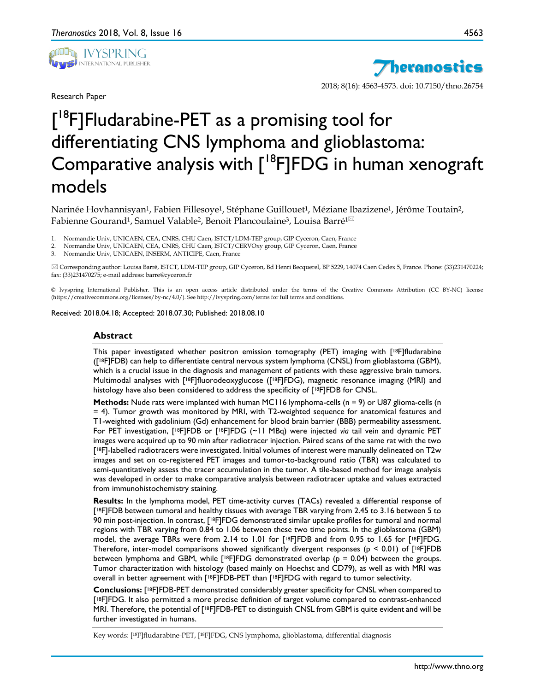

Research Paper



2018; 8(16): 4563-4573. doi: 10.7150/thno.26754

# [ 18F]Fludarabine-PET as a promising tool for differentiating CNS lymphoma and glioblastoma: Comparative analysis with  $[{}^{18}F]FDG$  in human xenograft models

Narinée Hovhannisyan<sup>1</sup>, Fabien Fillesoye<sup>1</sup>, Stéphane Guillouet<sup>1</sup>, Méziane Ibazizene<sup>1</sup>, Jérôme Toutain<sup>2</sup>, Fabienne Gourand<sup>1</sup>, Samuel Valable<sup>2</sup>, Benoit Plancoulaine<sup>3</sup>, Louisa Barré<sup>1 $\boxtimes$ </sup>

1. Normandie Univ, UNICAEN, CEA, CNRS, CHU Caen, ISTCT/LDM-TEP group, GIP Cyceron, Caen, France

2. Normandie Univ, UNICAEN, CEA, CNRS, CHU Caen, ISTCT/CERVOxy group, GIP Cyceron, Caen, France

3. Normandie Univ, UNICAEN, INSERM, ANTICIPE, Caen, France

 Corresponding author: Louisa Barré, ISTCT, LDM-TEP group, GIP Cyceron, Bd Henri Becquerel, BP 5229, 14074 Caen Cedex 5, France. Phone: (33)231470224; fax: (33)231470275; e-mail address: barre@cyceron.fr

© Ivyspring International Publisher. This is an open access article distributed under the terms of the Creative Commons Attribution (CC BY-NC) license (https://creativecommons.org/licenses/by-nc/4.0/). See http://ivyspring.com/terms for full terms and conditions.

Received: 2018.04.18; Accepted: 2018.07.30; Published: 2018.08.10

#### **Abstract**

This paper investigated whether positron emission tomography (PET) imaging with [18F]fludarabine ([18F]FDB) can help to differentiate central nervous system lymphoma (CNSL) from glioblastoma (GBM), which is a crucial issue in the diagnosis and management of patients with these aggressive brain tumors. Multimodal analyses with [18F]fluorodeoxyglucose ([18F]FDG), magnetic resonance imaging (MRI) and histology have also been considered to address the specificity of [18F]FDB for CNSL.

**Methods:** Nude rats were implanted with human MC116 lymphoma-cells (n = 9) or U87 glioma-cells (n = 4). Tumor growth was monitored by MRI, with T2-weighted sequence for anatomical features and T1-weighted with gadolinium (Gd) enhancement for blood brain barrier (BBB) permeability assessment. For PET investigation, [18F]FDB or [18F]FDG (~11 MBq) were injected *via* tail vein and dynamic PET images were acquired up to 90 min after radiotracer injection. Paired scans of the same rat with the two [18F]-labelled radiotracers were investigated. Initial volumes of interest were manually delineated on T2w images and set on co-registered PET images and tumor-to-background ratio (TBR) was calculated to semi-quantitatively assess the tracer accumulation in the tumor. A tile-based method for image analysis was developed in order to make comparative analysis between radiotracer uptake and values extracted from immunohistochemistry staining.

**Results:** In the lymphoma model, PET time-activity curves (TACs) revealed a differential response of [18F]FDB between tumoral and healthy tissues with average TBR varying from 2.45 to 3.16 between 5 to 90 min post-injection. In contrast, [18F]FDG demonstrated similar uptake profiles for tumoral and normal regions with TBR varying from 0.84 to 1.06 between these two time points. In the glioblastoma (GBM) model, the average TBRs were from 2.14 to 1.01 for [18F]FDB and from 0.95 to 1.65 for [18F]FDG. Therefore, inter-model comparisons showed significantly divergent responses ( $p \le 0.01$ ) of [<sup>18</sup>F]FDB between lymphoma and GBM, while  $[18F]FDG$  demonstrated overlap ( $p = 0.04$ ) between the groups. Tumor characterization with histology (based mainly on Hoechst and CD79), as well as with MRI was overall in better agreement with [18F]FDB-PET than [18F]FDG with regard to tumor selectivity.

**Conclusions:** [18F]FDB-PET demonstrated considerably greater specificity for CNSL when compared to [18F]FDG. It also permitted a more precise definition of target volume compared to contrast-enhanced MRI. Therefore, the potential of [18F]FDB-PET to distinguish CNSL from GBM is quite evident and will be further investigated in humans.

Key words: [18F]fludarabine-PET, [18F]FDG, CNS lymphoma, glioblastoma, differential diagnosis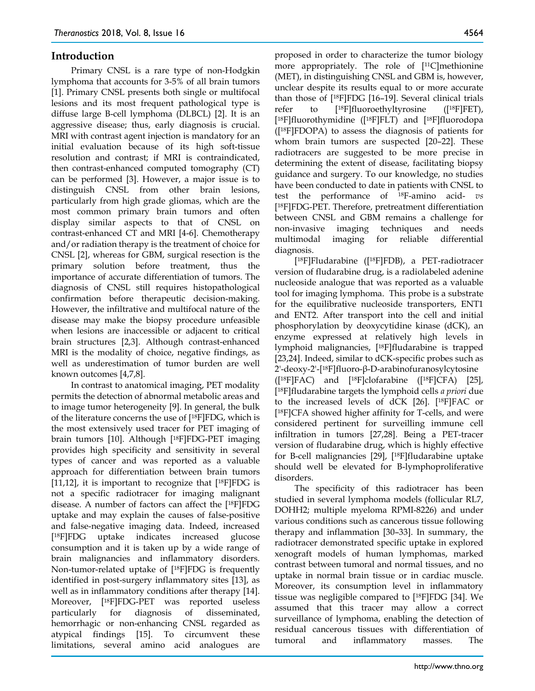# **Introduction**

Primary CNSL is a rare type of non-Hodgkin lymphoma that accounts for 3-5% of all brain tumors [1]. Primary CNSL presents both single or multifocal lesions and its most frequent pathological type is diffuse large B-cell lymphoma (DLBCL) [2]. It is an aggressive disease; thus, early diagnosis is crucial. MRI with contrast agent injection is mandatory for an initial evaluation because of its high soft-tissue resolution and contrast; if MRI is contraindicated, then contrast-enhanced computed tomography (CT) can be performed [3]. However, a major issue is to distinguish CNSL from other brain lesions, particularly from high grade gliomas, which are the most common primary brain tumors and often display similar aspects to that of CNSL on contrast-enhanced CT and MRI [4-6]. Chemotherapy and/or radiation therapy is the treatment of choice for CNSL [2], whereas for GBM, surgical resection is the primary solution before treatment, thus the importance of accurate differentiation of tumors. The diagnosis of CNSL still requires histopathological confirmation before therapeutic decision-making. However, the infiltrative and multifocal nature of the disease may make the biopsy procedure unfeasible when lesions are inaccessible or adjacent to critical brain structures [2,3]. Although contrast-enhanced MRI is the modality of choice, negative findings, as well as underestimation of tumor burden are well known outcomes [4,7,8].

In contrast to anatomical imaging, PET modality permits the detection of abnormal metabolic areas and to image tumor heterogeneity [9]. In general, the bulk of the literature concerns the use of [18F]FDG, which is the most extensively used tracer for PET imaging of brain tumors [10]. Although [18F]FDG-PET imaging provides high specificity and sensitivity in several types of cancer and was reported as a valuable approach for differentiation between brain tumors [11,12], it is important to recognize that  $[18F]FDG$  is not a specific radiotracer for imaging malignant disease. A number of factors can affect the [18F]FDG uptake and may explain the causes of false-positive and false-negative imaging data. Indeed, increased [18F]FDG uptake indicates increased glucose consumption and it is taken up by a wide range of brain malignancies and inflammatory disorders. Non-tumor-related uptake of [18F]FDG is frequently identified in post-surgery inflammatory sites [13], as well as in inflammatory conditions after therapy [14]. Moreover, [18F]FDG-PET was reported useless particularly for diagnosis of disseminated, hemorrhagic or non-enhancing CNSL regarded as atypical findings [15]. To circumvent these limitations, several amino acid analogues are

proposed in order to characterize the tumor biology more appropriately. The role of [<sup>11</sup>C]methionine (MET), in distinguishing CNSL and GBM is, however, unclear despite its results equal to or more accurate than those of [18F]FDG [16–19]. Several clinical trials refer to [18F]fluoroethyltyrosine ([18F]FET), [18F]fluorothymidine ([18F]FLT) and [18F]fluorodopa ([18F]FDOPA) to assess the diagnosis of patients for whom brain tumors are suspected [20–22]. These radiotracers are suggested to be more precise in determining the extent of disease, facilitating biopsy guidance and surgery. To our knowledge, no studies have been conducted to date in patients with CNSL to test the performance of 18F-amino acid- *vs* [18F]FDG-PET. Therefore, pretreatment differentiation between CNSL and GBM remains a challenge for non-invasive imaging techniques and needs multimodal imaging for reliable differential diagnosis.

[18F]Fludarabine ([18F]FDB), a PET-radiotracer version of fludarabine drug, is a radiolabeled adenine nucleoside analogue that was reported as a valuable tool for imaging lymphoma. This probe is a substrate for the equilibrative nucleoside transporters, ENT1 and ENT2. After transport into the cell and initial phosphorylation by deoxycytidine kinase (dCK), an enzyme expressed at relatively high levels in lymphoid malignancies, [18F]fludarabine is trapped [23,24]. Indeed, similar to dCK-specific probes such as 2'-deoxy-2'-[18F]fluoro-β-D-arabinofuranosylcytosine ([18F]FAC) and [18F]clofarabine ([18F]CFA) [25], [18F]fludarabine targets the lymphoid cells *a priori* due to the increased levels of dCK [26]. [18F]FAC or [18F]CFA showed higher affinity for T-cells, and were considered pertinent for surveilling immune cell infiltration in tumors [27,28]. Being a PET-tracer version of fludarabine drug, which is highly effective for B-cell malignancies [29], [18F]fludarabine uptake should well be elevated for B-lymphoproliferative disorders.

The specificity of this radiotracer has been studied in several lymphoma models (follicular RL7, DOHH2; multiple myeloma RPMI-8226) and under various conditions such as cancerous tissue following therapy and inflammation [30–33]. In summary, the radiotracer demonstrated specific uptake in explored xenograft models of human lymphomas, marked contrast between tumoral and normal tissues, and no uptake in normal brain tissue or in cardiac muscle. Moreover, its consumption level in inflammatory tissue was negligible compared to [18F]FDG [34]. We assumed that this tracer may allow a correct surveillance of lymphoma, enabling the detection of residual cancerous tissues with differentiation of tumoral and inflammatory masses. The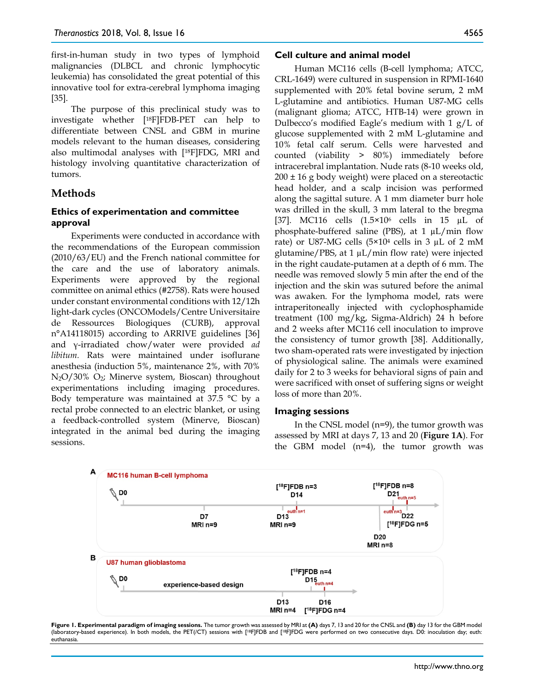first-in-human study in two types of lymphoid malignancies (DLBCL and chronic lymphocytic leukemia) has consolidated the great potential of this innovative tool for extra-cerebral lymphoma imaging [35].

The purpose of this preclinical study was to investigate whether [18F]FDB-PET can help to differentiate between CNSL and GBM in murine models relevant to the human diseases, considering also multimodal analyses with [18F]FDG, MRI and histology involving quantitative characterization of tumors.

# **Methods**

## **Ethics of experimentation and committee approval**

Experiments were conducted in accordance with the recommendations of the European commission (2010/63/EU) and the French national committee for the care and the use of laboratory animals. Experiments were approved by the regional committee on animal ethics (#2758). Rats were housed under constant environmental conditions with 12/12h light-dark cycles (ONCOModels/Centre Universitaire de Ressources Biologiques (CURB), approval n°A14118015) according to ARRIVE guidelines [36] and γ-irradiated chow/water were provided *ad libitum.* Rats were maintained under isoflurane anesthesia (induction 5%, maintenance 2%, with 70% N2O/30% O2; Minerve system, Bioscan) throughout experimentations including imaging procedures. Body temperature was maintained at 37.5 °C by a rectal probe connected to an electric blanket, or using a feedback-controlled system (Minerve, Bioscan) integrated in the animal bed during the imaging sessions.

#### **Cell culture and animal model**

Human MC116 cells (B-cell lymphoma; ATCC, CRL-1649) were cultured in suspension in RPMI-1640 supplemented with 20% fetal bovine serum, 2 mM L-glutamine and antibiotics. Human U87-MG cells (malignant glioma; ATCC, HTB-14) were grown in Dulbecco's modified Eagle's medium with 1 g/L of glucose supplemented with 2 mM L-glutamine and 10% fetal calf serum. Cells were harvested and counted (viability > 80%) immediately before intracerebral implantation. Nude rats (8-10 weeks old,  $200 \pm 16$  g body weight) were placed on a stereotactic head holder, and a scalp incision was performed along the sagittal suture. A 1 mm diameter burr hole was drilled in the skull, 3 mm lateral to the bregma [37]. MC116 cells (1.5×106 cells in 15 µL of phosphate-buffered saline (PBS), at 1 µL/min flow rate) or U87-MG cells  $(5 \times 10^4 \text{ cells in } 3 \mu \text{L of } 2 \text{ mM})$ glutamine/PBS, at  $1 \mu L/min$  flow rate) were injected in the right caudate-putamen at a depth of 6 mm. The needle was removed slowly 5 min after the end of the injection and the skin was sutured before the animal was awaken. For the lymphoma model, rats were intraperitoneally injected with cyclophosphamide treatment (100 mg/kg, Sigma-Aldrich) 24 h before and 2 weeks after MC116 cell inoculation to improve the consistency of tumor growth [38]. Additionally, two sham-operated rats were investigated by injection of physiological saline. The animals were examined daily for 2 to 3 weeks for behavioral signs of pain and were sacrificed with onset of suffering signs or weight loss of more than 20%.

#### **Imaging sessions**

In the CNSL model (n=9), the tumor growth was assessed by MRI at days 7, 13 and 20 (**Figure 1A**). For the GBM model (n=4), the tumor growth was



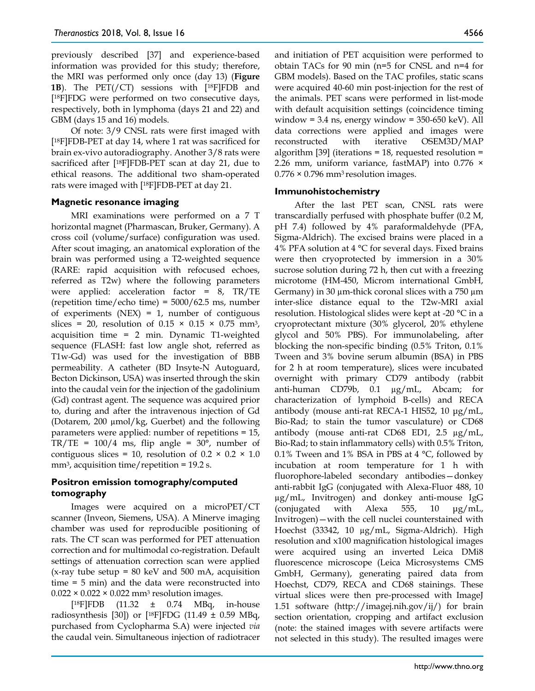previously described [37] and experience-based information was provided for this study; therefore, the MRI was performed only once (day 13) (**Figure 1B**). The PET(/CT) sessions with [18F]FDB and [18F]FDG were performed on two consecutive days, respectively, both in lymphoma (days 21 and 22) and GBM (days 15 and 16) models.

Of note: 3/9 CNSL rats were first imaged with [18F]FDB-PET at day 14, where 1 rat was sacrificed for brain ex-vivo autoradiography. Another 3/8 rats were sacrificed after [18F]FDB-PET scan at day 21, due to ethical reasons. The additional two sham-operated rats were imaged with [18F]FDB-PET at day 21.

#### **Magnetic resonance imaging**

MRI examinations were performed on a 7 T horizontal magnet (Pharmascan, Bruker, Germany). A cross coil (volume/surface) configuration was used. After scout imaging, an anatomical exploration of the brain was performed using a T2-weighted sequence (RARE: rapid acquisition with refocused echoes, referred as T2w) where the following parameters were applied: acceleration factor = 8, TR/TE (repetition time/echo time) =  $5000/62.5$  ms, number of experiments (NEX) = 1, number of contiguous slices = 20, resolution of  $0.15 \times 0.15 \times 0.75$  mm<sup>3</sup>, acquisition time = 2 min. Dynamic T1-weighted sequence (FLASH: fast low angle shot, referred as T1w-Gd) was used for the investigation of BBB permeability. A catheter (BD Insyte-N Autoguard, Becton Dickinson, USA) was inserted through the skin into the caudal vein for the injection of the gadolinium (Gd) contrast agent. The sequence was acquired prior to, during and after the intravenous injection of Gd (Dotarem, 200 µmol/kg, Guerbet) and the following parameters were applied: number of repetitions = 15,  $TR/TE = 100/4$  ms, flip angle = 30°, number of contiguous slices = 10, resolution of  $0.2 \times 0.2 \times 1.0$  $mm<sup>3</sup>$ , acquisition time/repetition = 19.2 s.

# **Positron emission tomography/computed tomography**

Images were acquired on a microPET/CT scanner (Inveon, Siemens, USA). A Minerve imaging chamber was used for reproducible positioning of rats. The CT scan was performed for PET attenuation correction and for multimodal co-registration. Default settings of attenuation correction scan were applied (x-ray tube setup =  $80 \text{ keV}$  and  $500 \text{ mA}$ , acquisition time = 5 min) and the data were reconstructed into  $0.022 \times 0.022 \times 0.022$  mm<sup>3</sup> resolution images.

[18F]FDB (11.32 ± 0.74 MBq, in-house radiosynthesis [30]) or [<sup>18</sup>F]FDG (11.49  $\pm$  0.59 MBq, purchased from Cyclopharma S.A) were injected *via* the caudal vein. Simultaneous injection of radiotracer

and initiation of PET acquisition were performed to obtain TACs for 90 min (n=5 for CNSL and n=4 for GBM models). Based on the TAC profiles, static scans were acquired 40-60 min post-injection for the rest of the animals. PET scans were performed in list-mode with default acquisition settings (coincidence timing window =  $3.4$  ns, energy window =  $350-650$  keV). All data corrections were applied and images were reconstructed with iterative OSEM3D/MAP algorithm [39] (iterations = 18, requested resolution = 2.26 mm, uniform variance, fastMAP) into 0.776 ×  $0.776 \times 0.796$  mm<sup>3</sup> resolution images.

## **Immunohistochemistry**

After the last PET scan, CNSL rats were transcardially perfused with phosphate buffer (0.2 M, pH 7.4) followed by 4% paraformaldehyde (PFA, Sigma-Aldrich). The excised brains were placed in a 4% PFA solution at 4 °C for several days. Fixed brains were then cryoprotected by immersion in a 30% sucrose solution during 72 h, then cut with a freezing microtome (HM-450, Microm international GmbH, Germany) in 30  $\mu$ m-thick coronal slices with a 750  $\mu$ m inter-slice distance equal to the T2w-MRI axial resolution. Histological slides were kept at -20 °C in a cryoprotectant mixture (30% glycerol, 20% ethylene glycol and 50% PBS). For immunolabeling, after blocking the non-specific binding (0.5% Triton, 0.1% Tween and 3% bovine serum albumin (BSA) in PBS for 2 h at room temperature), slices were incubated overnight with primary CD79 antibody (rabbit anti-human CD79b, 0.1 µg/mL, Abcam; for characterization of lymphoid B-cells) and RECA antibody (mouse anti-rat RECA-1 HIS52, 10 μg/mL, Bio-Rad; to stain the tumor vasculature) or CD68 antibody (mouse anti-rat CD68 ED1, 2.5 µg/mL, Bio-Rad; to stain inflammatory cells) with 0.5% Triton, 0.1% Tween and 1% BSA in PBS at 4 °C, followed by incubation at room temperature for 1 h with fluorophore-labeled secondary antibodies—donkey anti-rabbit IgG (conjugated with Alexa-Fluor 488, 10 µg/mL, Invitrogen) and donkey anti-mouse IgG (conjugated with Alexa 555, 10 μg/mL, Invitrogen)—with the cell nuclei counterstained with Hoechst (33342, 10 µg/mL, Sigma-Aldrich). High resolution and x100 magnification histological images were acquired using an inverted Leica DMi8 fluorescence microscope (Leica Microsystems CMS GmbH, Germany), generating paired data from Hoechst, CD79, RECA and CD68 stainings. These virtual slices were then pre-processed with ImageJ 1.51 software (http://imagej.nih.gov/ij/) for brain section orientation, cropping and artifact exclusion (note: the stained images with severe artifacts were not selected in this study). The resulted images were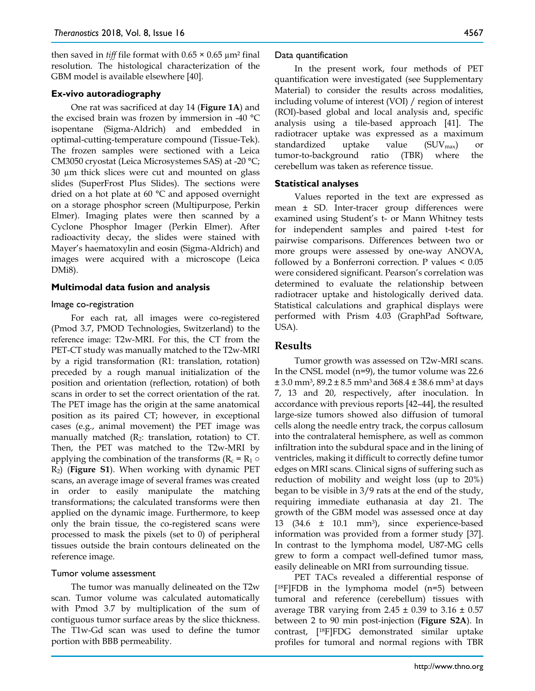then saved in *tiff* file format with  $0.65 \times 0.65$   $\mu$ m<sup>2</sup> final resolution. The histological characterization of the GBM model is available elsewhere [40].

### **Ex-vivo autoradiography**

One rat was sacrificed at day 14 (**Figure 1A**) and the excised brain was frozen by immersion in -40 °C isopentane (Sigma-Aldrich) and embedded in optimal-cutting-temperature compound (Tissue-Tek). The frozen samples were sectioned with a Leica CM3050 cryostat (Leica Microsystemes SAS) at -20 °C; 30 µm thick slices were cut and mounted on glass slides (SuperFrost Plus Slides). The sections were dried on a hot plate at 60 °C and apposed overnight on a storage phosphor screen (Multipurpose, Perkin Elmer). Imaging plates were then scanned by a Cyclone Phosphor Imager (Perkin Elmer). After radioactivity decay, the slides were stained with Mayer's haematoxylin and eosin (Sigma-Aldrich) and images were acquired with a microscope (Leica DMi8).

#### **Multimodal data fusion and analysis**

#### Image co-registration

For each rat, all images were co-registered (Pmod 3.7, PMOD Technologies, Switzerland) to the reference image: T2w-MRI. For this, the CT from the PET-CT study was manually matched to the T2w-MRI by a rigid transformation (R1: translation, rotation) preceded by a rough manual initialization of the position and orientation (reflection, rotation) of both scans in order to set the correct orientation of the rat. The PET image has the origin at the same anatomical position as its paired CT; however, in exceptional cases (e.g., animal movement) the PET image was manually matched  $(R_2:$  translation, rotation) to CT. Then, the PET was matched to the T2w-MRI by applying the combination of the transforms ( $R_c = R_1 \circ$ R2) (**Figure S1**). When working with dynamic PET scans, an average image of several frames was created in order to easily manipulate the matching transformations; the calculated transforms were then applied on the dynamic image. Furthermore, to keep only the brain tissue, the co-registered scans were processed to mask the pixels (set to 0) of peripheral tissues outside the brain contours delineated on the reference image.

#### Tumor volume assessment

The tumor was manually delineated on the T2w scan. Tumor volume was calculated automatically with Pmod 3.7 by multiplication of the sum of contiguous tumor surface areas by the slice thickness. The T1w-Gd scan was used to define the tumor portion with BBB permeability.

#### Data quantification

In the present work, four methods of PET quantification were investigated (see Supplementary Material) to consider the results across modalities, including volume of interest (VOI) / region of interest (ROI)-based global and local analysis and, specific analysis using a tile-based approach [41]. The radiotracer uptake was expressed as a maximum standardized uptake value  $(SUV_{max})$  or tumor-to-background ratio (TBR) where the cerebellum was taken as reference tissue.

#### **Statistical analyses**

Values reported in the text are expressed as mean ± SD. Inter-tracer group differences were examined using Student's t- or Mann Whitney tests for independent samples and paired t-test for pairwise comparisons. Differences between two or more groups were assessed by one-way ANOVA, followed by a Bonferroni correction. P values  $\leq 0.05$ were considered significant. Pearson's correlation was determined to evaluate the relationship between radiotracer uptake and histologically derived data. Statistical calculations and graphical displays were performed with Prism 4.03 (GraphPad Software, USA).

## **Results**

Tumor growth was assessed on T2w-MRI scans. In the CNSL model (n=9), the tumor volume was 22.6  $\pm$  3.0 mm<sup>3</sup>, 89.2  $\pm$  8.5 mm<sup>3</sup> and 368.4  $\pm$  38.6 mm<sup>3</sup> at days 7, 13 and 20, respectively, after inoculation. In accordance with previous reports [42–44], the resulted large-size tumors showed also diffusion of tumoral cells along the needle entry track, the corpus callosum into the contralateral hemisphere, as well as common infiltration into the subdural space and in the lining of ventricles, making it difficult to correctly define tumor edges on MRI scans. Clinical signs of suffering such as reduction of mobility and weight loss (up to 20%) began to be visible in 3/9 rats at the end of the study, requiring immediate euthanasia at day 21. The growth of the GBM model was assessed once at day 13 (34.6 ± 10.1 mm3), since experience-based information was provided from a former study [37]. In contrast to the lymphoma model, U87-MG cells grew to form a compact well-defined tumor mass, easily delineable on MRI from surrounding tissue.

PET TACs revealed a differential response of  $[18F]FDB$  in the lymphoma model (n=5) between tumoral and reference (cerebellum) tissues with average TBR varying from  $2.45 \pm 0.39$  to  $3.16 \pm 0.57$ between 2 to 90 min post-injection (**Figure S2A**). In contrast, [18F]FDG demonstrated similar uptake profiles for tumoral and normal regions with TBR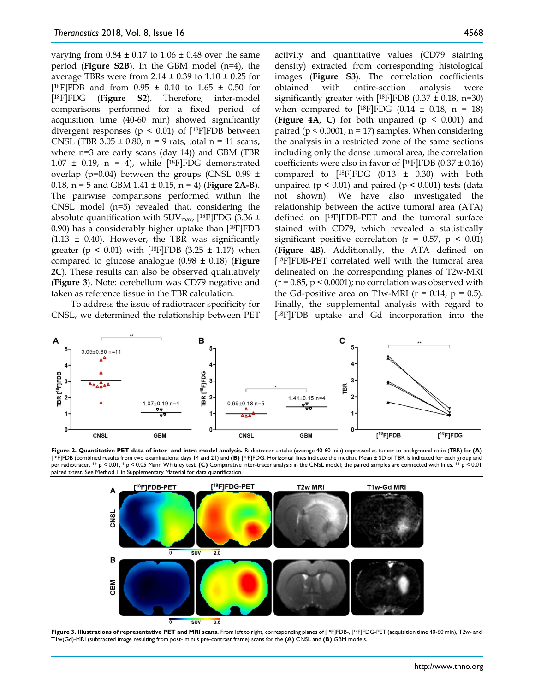varying from  $0.84 \pm 0.17$  to  $1.06 \pm 0.48$  over the same period (**Figure S2B**). In the GBM model (n=4), the average TBRs were from  $2.14 \pm 0.39$  to  $1.10 \pm 0.25$  for [ $^{18}$ F]FDB and from 0.95  $\pm$  0.10 to 1.65  $\pm$  0.50 for [18F]FDG (**Figure S2**). Therefore, inter-model comparisons performed for a fixed period of acquisition time (40-60 min) showed significantly divergent responses ( $p \leq 0.01$ ) of [<sup>18</sup>F]FDB between CNSL (TBR  $3.05 \pm 0.80$ , n = 9 rats, total n = 11 scans, where n=3 are early scans (day 14)) and GBM (TBR  $1.07 \pm 0.19$ , n = 4), while [<sup>18</sup>F]FDG demonstrated overlap (p=0.04) between the groups (CNSL 0.99  $\pm$ 0.18, n = 5 and GBM 1.41 ± 0.15, n = 4) (**Figure 2A-B**). The pairwise comparisons performed within the CNSL model (n=5) revealed that, considering the absolute quantification with  $\text{SUV}_{\text{max}}$  [<sup>18</sup>F]FDG (3.36 ± 0.90) has a considerably higher uptake than [18F]FDB  $(1.13 \pm 0.40)$ . However, the TBR was significantly greater ( $p \le 0.01$ ) with [<sup>18</sup>F]FDB (3.25  $\pm$  1.17) when compared to glucose analogue (0.98 ± 0.18) (**Figure 2C**). These results can also be observed qualitatively (**Figure 3**). Note: cerebellum was CD79 negative and taken as reference tissue in the TBR calculation.

To address the issue of radiotracer specificity for CNSL, we determined the relationship between PET activity and quantitative values (CD79 staining density) extracted from corresponding histological images (**Figure S3**). The correlation coefficients obtained with entire-section analysis were significantly greater with [<sup>18</sup>F]FDB (0.37  $\pm$  0.18, n=30) when compared to [<sup>18</sup>F]FDG (0.14  $\pm$  0.18, n = 18) (**Figure 4A, C**) for both unpaired  $(p < 0.001)$  and paired ( $p \le 0.0001$ ,  $n = 17$ ) samples. When considering the analysis in a restricted zone of the same sections including only the dense tumoral area, the correlation coefficients were also in favor of  $[18F]FDB (0.37 \pm 0.16)$ compared to  $[18F]FDG$  (0.13  $\pm$  0.30) with both unpaired ( $p < 0.01$ ) and paired ( $p < 0.001$ ) tests (data not shown). We have also investigated the relationship between the active tumoral area (ATA) defined on [18F]FDB-PET and the tumoral surface stained with CD79, which revealed a statistically significant positive correlation ( $r = 0.57$ ,  $p \le 0.01$ ) (**Figure 4B**). Additionally, the ATA defined on [18F]FDB-PET correlated well with the tumoral area delineated on the corresponding planes of T2w-MRI  $(r = 0.85, p \le 0.0001)$ ; no correlation was observed with the Gd-positive area on T1w-MRI ( $r = 0.14$ ,  $p = 0.5$ ). Finally, the supplemental analysis with regard to [18F]FDB uptake and Gd incorporation into the



**Figure 2. Quantitative PET data of inter- and intra-model analysis.** Radiotracer uptake (average 40-60 min) expressed as tumor-to-background ratio (TBR) for **(A)** [<sup>18</sup>F]FDB (combined results from two examinations: days 14 and 21) and **(B)** [<sup>18</sup>F]FDG. Horizontal lines indicate the median. Mean ± SD of TBR is indicated for each group and per radiotracer. **\*\*** p < 0.01, \* p < 0.05 Ma per radiotracer. \*\* p < 0.01, \* p < 0.05 Mann Whitney test. (C) Comparative inter-tracer analysis in the CNSL model; the paired samples are connected with lines. \* paired t-test. See Method 1 in Supplementary Material for data quantification.



Figure 3. Illustrations of representative PET and MRI scans. From left to right, corresponding planes of [<sup>18</sup>F]FDB-, [<sup>18</sup>F]FDG-PET (acquisition time 40-60 min), T2w- and T1w(Gd)-MRI (subtracted image resulting from post- minus pre-contrast frame) scans for the **(A)** CNSL and **(B)** GBM models.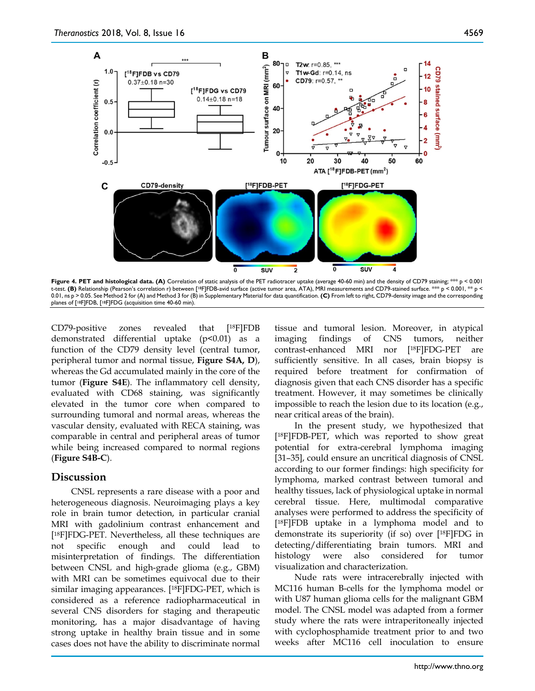

**Figure 4. PET and histological data. (A)** Correlation of static analysis of the PET radiotracer uptake (average 40-60 min) and the density of CD79 staining; \*\*\* p < 0.001 t-test. **(B)** Relationship (Pearson's correlation r) between [18F]FDB-avid surface (active tumor area, ATA), MRI measurements and CD79-stained surface. \*\*\* p < 0.001, \*\* p < 0.01, ns p > 0.05. See Method 2 for (A) and Method 3 for (B) in Supplementary Material for data quantification. **(C)** From left to right, CD79-density image and the corresponding planes of [18F]FDB, [18F]FDG (acquisition time 40-60 min).

CD79-positive zones revealed that [18F]FDB demonstrated differential uptake (p<0.01) as a function of the CD79 density level (central tumor, peripheral tumor and normal tissue, **Figure S4A, D**), whereas the Gd accumulated mainly in the core of the tumor (**Figure S4E**). The inflammatory cell density, evaluated with CD68 staining, was significantly elevated in the tumor core when compared to surrounding tumoral and normal areas, whereas the vascular density, evaluated with RECA staining, was comparable in central and peripheral areas of tumor while being increased compared to normal regions (**Figure S4B-C**).

# **Discussion**

CNSL represents a rare disease with a poor and heterogeneous diagnosis. Neuroimaging plays a key role in brain tumor detection, in particular cranial MRI with gadolinium contrast enhancement and [18F]FDG-PET. Nevertheless, all these techniques are not specific enough and could lead to misinterpretation of findings. The differentiation between CNSL and high-grade glioma (e.g., GBM) with MRI can be sometimes equivocal due to their similar imaging appearances. [18F]FDG-PET, which is considered as a reference radiopharmaceutical in several CNS disorders for staging and therapeutic monitoring, has a major disadvantage of having strong uptake in healthy brain tissue and in some cases does not have the ability to discriminate normal

tissue and tumoral lesion. Moreover, in atypical imaging findings of CNS tumors, neither contrast-enhanced MRI nor [18F]FDG-PET are sufficiently sensitive. In all cases, brain biopsy is required before treatment for confirmation of diagnosis given that each CNS disorder has a specific treatment. However, it may sometimes be clinically impossible to reach the lesion due to its location (e.g., near critical areas of the brain).

In the present study, we hypothesized that [18F]FDB-PET, which was reported to show great potential for extra-cerebral lymphoma imaging [31–35], could ensure an uncritical diagnosis of CNSL according to our former findings: high specificity for lymphoma, marked contrast between tumoral and healthy tissues, lack of physiological uptake in normal cerebral tissue. Here, multimodal comparative analyses were performed to address the specificity of [18F]FDB uptake in a lymphoma model and to demonstrate its superiority (if so) over [18F]FDG in detecting/differentiating brain tumors. MRI and histology were also considered for tumor visualization and characterization.

Nude rats were intracerebrally injected with MC116 human B-cells for the lymphoma model or with U87 human glioma cells for the malignant GBM model. The CNSL model was adapted from a former study where the rats were intraperitoneally injected with cyclophosphamide treatment prior to and two weeks after MC116 cell inoculation to ensure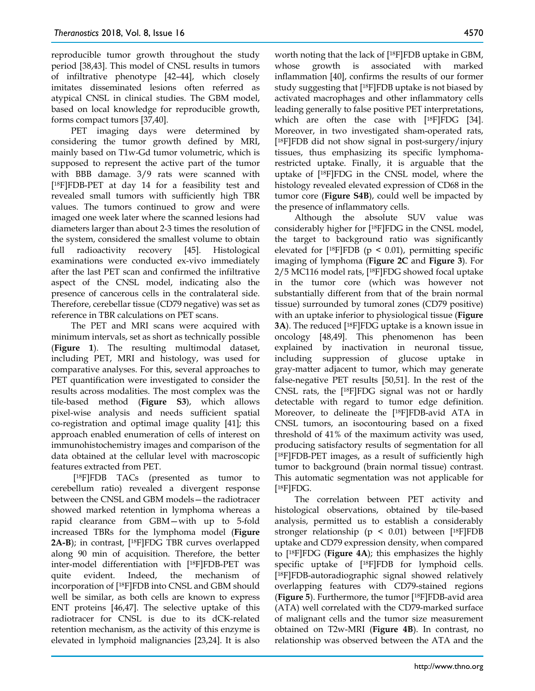reproducible tumor growth throughout the study period [38,43]. This model of CNSL results in tumors of infiltrative phenotype [42–44], which closely imitates disseminated lesions often referred as atypical CNSL in clinical studies. The GBM model, based on local knowledge for reproducible growth, forms compact tumors [37,40].

PET imaging days were determined by considering the tumor growth defined by MRI, mainly based on T1w-Gd tumor volumetric, which is supposed to represent the active part of the tumor with BBB damage. 3/9 rats were scanned with [18F]FDB-PET at day 14 for a feasibility test and revealed small tumors with sufficiently high TBR values. The tumors continued to grow and were imaged one week later where the scanned lesions had diameters larger than about 2-3 times the resolution of the system, considered the smallest volume to obtain full radioactivity recovery [45]. Histological examinations were conducted ex-vivo immediately after the last PET scan and confirmed the infiltrative aspect of the CNSL model, indicating also the presence of cancerous cells in the contralateral side. Therefore, cerebellar tissue (CD79 negative) was set as reference in TBR calculations on PET scans.

The PET and MRI scans were acquired with minimum intervals, set as short as technically possible (**Figure 1**). The resulting multimodal dataset, including PET, MRI and histology, was used for comparative analyses. For this, several approaches to PET quantification were investigated to consider the results across modalities. The most complex was the tile-based method (**Figure S3**), which allows pixel-wise analysis and needs sufficient spatial co-registration and optimal image quality [41]; this approach enabled enumeration of cells of interest on immunohistochemistry images and comparison of the data obtained at the cellular level with macroscopic features extracted from PET.

[18F]FDB TACs (presented as tumor to cerebellum ratio) revealed a divergent response between the CNSL and GBM models—the radiotracer showed marked retention in lymphoma whereas a rapid clearance from GBM—with up to 5-fold increased TBRs for the lymphoma model (**Figure 2A-B**); in contrast, [18F]FDG TBR curves overlapped along 90 min of acquisition. Therefore, the better inter-model differentiation with [18F]FDB-PET was quite evident. Indeed, the mechanism of incorporation of [18F]FDB into CNSL and GBM should well be similar, as both cells are known to express ENT proteins [46,47]. The selective uptake of this radiotracer for CNSL is due to its dCK-related retention mechanism, as the activity of this enzyme is elevated in lymphoid malignancies [23,24]. It is also

worth noting that the lack of [18F]FDB uptake in GBM, whose growth is associated with marked inflammation [40], confirms the results of our former study suggesting that [18F]FDB uptake is not biased by activated macrophages and other inflammatory cells leading generally to false positive PET interpretations, which are often the case with [18F]FDG [34]. Moreover, in two investigated sham-operated rats, [18F]FDB did not show signal in post-surgery/injury tissues, thus emphasizing its specific lymphomarestricted uptake. Finally, it is arguable that the uptake of [18F]FDG in the CNSL model, where the histology revealed elevated expression of CD68 in the tumor core (**Figure S4B**), could well be impacted by the presence of inflammatory cells.

Although the absolute SUV value was considerably higher for [18F]FDG in the CNSL model, the target to background ratio was significantly elevated for [<sup>18</sup>F]FDB ( $p \le 0.01$ ), permitting specific imaging of lymphoma (**Figure 2C** and **Figure 3**). For 2/5 MC116 model rats, [18F]FDG showed focal uptake in the tumor core (which was however not substantially different from that of the brain normal tissue) surrounded by tumoral zones (CD79 positive) with an uptake inferior to physiological tissue (**Figure 3A**). The reduced [18F]FDG uptake is a known issue in oncology [48,49]. This phenomenon has been explained by inactivation in neuronal tissue, including suppression of glucose uptake in gray-matter adjacent to tumor, which may generate false-negative PET results [50,51]. In the rest of the CNSL rats, the [18F]FDG signal was not or hardly detectable with regard to tumor edge definition. Moreover, to delineate the [18F]FDB-avid ATA in CNSL tumors, an isocontouring based on a fixed threshold of 41% of the maximum activity was used, producing satisfactory results of segmentation for all [18F]FDB-PET images, as a result of sufficiently high tumor to background (brain normal tissue) contrast. This automatic segmentation was not applicable for  $[$ <sup>18</sup> $F$  $]$  $F$  $D$  $G$ .

The correlation between PET activity and histological observations, obtained by tile-based analysis, permitted us to establish a considerably stronger relationship ( $p \leq 0.01$ ) between [<sup>18</sup>F]FDB uptake and CD79 expression density, when compared to [18F]FDG (**Figure 4A**); this emphasizes the highly specific uptake of [18F]FDB for lymphoid cells. [18F]FDB-autoradiographic signal showed relatively overlapping features with CD79-stained regions (**Figure 5**). Furthermore, the tumor [18F]FDB-avid area (ATA) well correlated with the CD79-marked surface of malignant cells and the tumor size measurement obtained on T2w-MRI (**Figure 4B**). In contrast, no relationship was observed between the ATA and the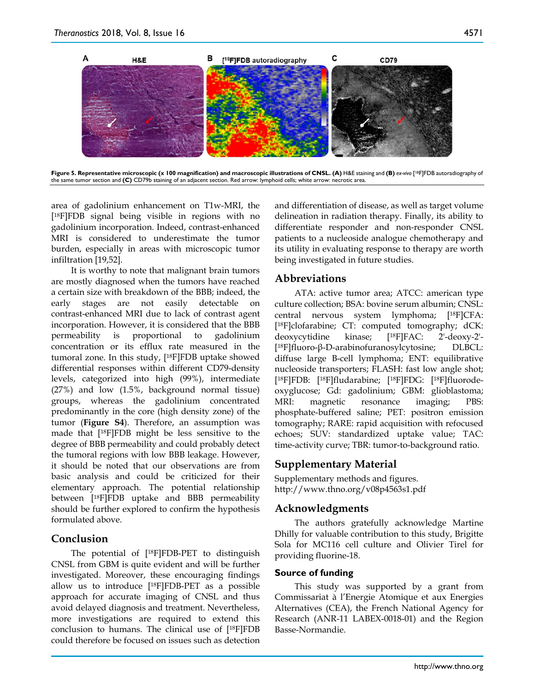

**Figure 5. Representative microscopic (x 100 magnification) and macroscopic illustrations of CNSL. (A) H&E staining and (B)** *ex-vivo* **[<sup>18</sup>F]FDB autoradiography of** the same tumor section and **(C)** CD79b staining of an adjacent section. Red arrow: lymphoid cells; white arrow: necrotic area.

area of gadolinium enhancement on T1w-MRI, the [18F]FDB signal being visible in regions with no gadolinium incorporation. Indeed, contrast-enhanced MRI is considered to underestimate the tumor burden, especially in areas with microscopic tumor infiltration [19,52].

It is worthy to note that malignant brain tumors are mostly diagnosed when the tumors have reached a certain size with breakdown of the BBB; indeed, the early stages are not easily detectable on contrast-enhanced MRI due to lack of contrast agent incorporation. However, it is considered that the BBB permeability is proportional to gadolinium concentration or its efflux rate measured in the tumoral zone. In this study, [18F]FDB uptake showed differential responses within different CD79-density levels, categorized into high (99%), intermediate (27%) and low (1.5%, background normal tissue) groups, whereas the gadolinium concentrated predominantly in the core (high density zone) of the tumor (**Figure S4**). Therefore, an assumption was made that [18F]FDB might be less sensitive to the degree of BBB permeability and could probably detect the tumoral regions with low BBB leakage. However, it should be noted that our observations are from basic analysis and could be criticized for their elementary approach. The potential relationship between [18F]FDB uptake and BBB permeability should be further explored to confirm the hypothesis formulated above.

# **Conclusion**

The potential of [18F]FDB-PET to distinguish CNSL from GBM is quite evident and will be further investigated. Moreover, these encouraging findings allow us to introduce [18F]FDB-PET as a possible approach for accurate imaging of CNSL and thus avoid delayed diagnosis and treatment. Nevertheless, more investigations are required to extend this conclusion to humans. The clinical use of [18F]FDB could therefore be focused on issues such as detection

and differentiation of disease, as well as target volume delineation in radiation therapy. Finally, its ability to differentiate responder and non-responder CNSL patients to a nucleoside analogue chemotherapy and its utility in evaluating response to therapy are worth being investigated in future studies.

# **Abbreviations**

ATA: active tumor area; ATCC: american type culture collection; BSA: bovine serum albumin; CNSL: central nervous system lymphoma; [18F]CFA: [<sup>18</sup>F]clofarabine; CT: computed tomography; dCK: deoxycytidine kinase; [18F]FAC: 2'-deoxy-2'- [18F]fluoro-β-D-arabinofuranosylcytosine; DLBCL: diffuse large B-cell lymphoma; ENT: equilibrative nucleoside transporters; FLASH: fast low angle shot; [18F]FDB: [18F]fludarabine; [18F]FDG: [18F]fluorodeoxyglucose; Gd: gadolinium; GBM: glioblastoma; MRI: magnetic resonance imaging; PBS: phosphate-buffered saline; PET: positron emission tomography; RARE: rapid acquisition with refocused echoes; SUV: standardized uptake value; TAC: time-activity curve; TBR: tumor-to-background ratio.

# **Supplementary Material**

Supplementary methods and figures. http://www.thno.org/v08p4563s1.pdf

# **Acknowledgments**

The authors gratefully acknowledge Martine Dhilly for valuable contribution to this study, Brigitte Sola for MC116 cell culture and Olivier Tirel for providing fluorine-18.

## **Source of funding**

This study was supported by a grant from Commissariat à l'Energie Atomique et aux Energies Alternatives (CEA), the French National Agency for Research (ANR-11 LABEX-0018-01) and the Region Basse-Normandie.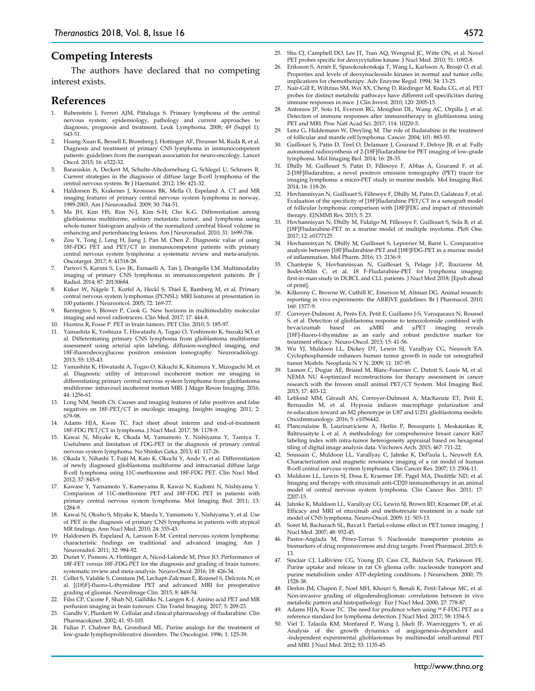## **Competing Interests**

The authors have declared that no competing interest exists.

#### **References**

- 1. Rubenstein J, Ferreri AJM, Pittaluga S. Primary lymphoma of the central nervous system: epidemiology, pathology and current approaches to diagnosis, prognosis and treatment. Leuk Lymphoma. 2008; 49 (Suppl 1): S43‑51.
- 2. Hoang-Xuan K, Bessell E, Bromberg J, Hottinger AF, Preusser M, Rudà R, et al. Diagnosis and treatment of primary CNS lymphoma in immunocompetent patients: guidelines from the european association for neuro-oncology. Lancet Oncol. 2015; 16: e322-32.
- 3. Baraniskin A, Deckert M, Schulte-Altedorneburg G, Schlegel U, Schroers R. Current strategies in the diagnosis of diffuse large B-cell lymphoma of the central nervous system. Br J Haematol. 2012; 156: 421‑32.
- 4. Haldorsen IS, Krakenes J, Krossnes BK, Mella O, Espeland A. CT and MR imaging features of primary central nervous system lymphoma in norway, 1989-2003. Am J Neuroradiol. 2009; 30: 744‑51.
- 5. Ma JH, Kim HS, Rim N-J, Kim S-H, Cho K-G. Differentiation among glioblastoma multiforme, solitary metastatic tumor, and lymphoma using whole-tumor histogram analysis of the normalized cerebral blood volume in enhancing and perienhancing lesions. Am J Neuroradiol. 2010; 31: 1699-706.
- 6. Zou Y, Tong J, Leng H, Jiang J, Pan M, Chen Z. Diagnostic value of using 18F-FDG PET and PET/CT in immunocompetent patients with primary central nervous system lymphoma: a systematic review and meta-analysis. Oncotarget. 2017; 8: 41518-28.
- 7. Partovi S, Karimi S, Lyo JK, Esmaeili A, Tan J, Deangelis LM. Multimodality imaging of primary CNS lymphoma in immunocompetent patients. Br J Radiol. 2014; 87: 20130684.
- Küker W, Nägele T, Korfel A, Heckl S, Thiel E, Bamberg M, et al. Primary central nervous system lymphomas (PCNSL): MRI features at presentation in 100 patients. J Neurooncol. 2005; 72: 169‑77.
- Barrington S, Blower P, Cook G. New horizons in multimodality molecular imaging and novel radiotracers. Clin Med. 2017; 17: 444‑8.
- 10. Hustinx R, Fosse P. PET in brain tumors. PET Clin. 2010; 5: 185-97.<br>11. Yamashita K. Yoshiura T. Hiwatashi A. Togao O. Yoshimoto K. Si
- 11. Yamashita K, Yoshiura T, Hiwatashi A, Togao O, Yoshimoto K, Suzuki SO, et al. Differentiating primary CNS lymphoma from glioblastoma multiforme: assessment using arterial spin labeling, diffusion-weighted imaging, and 18F-fluorodeoxyglucose positron emission tomography. Neuroradiology. 2013; 55: 135‑43.
- 12. Yamashita K, Hiwatashi A, Togao O, Kikuchi K, Kitamura Y, Mizoguchi M, et al. Diagnostic utility of intravoxel incoherent motion mr imaging in differentiating primary central nervous system lymphoma from glioblastoma multiforme: intravoxel incoherent motion MRI. J Magn Reson Imaging. 2016; 44: 1256‑61.
- 13. Long NM, Smith CS. Causes and imaging features of false positives and false negatives on 18F-PET/CT in oncologic imaging. Insights imaging. 2011; 2: 679‑98.
- 14. Adams HJA, Kwee TC. Fact sheet about interim and end-of-treatment 18F-FDG PET/CT in lymphoma. J Nucl Med. 2017; 58: 1178‑9.
- 15. Kawai N, Miyake K, Okada M, Yamamoto Y, Nishiyama Y, Tamiya T. Usefulness and limitation of FDG-PET in the diagnosis of primary central nervous system lymphoma. No Shinkei Geka. 2013; 41: 117‑26.
- 16. Okada Y, Nihashi T, Fujii M, Kato K, Okochi Y, Ando Y, et al. Differentiation of newly diagnosed glioblastoma multiforme and intracranial diffuse large B-cell lymphoma using 11C-methionine and 18F-FDG PET. Clin Nucl Med. 2012; 37: 843-9.
- 17. Kawase Y, Yamamoto Y, Kameyama R, Kawai N, Kudomi N, Nishiyama Y. Comparison of 11C-methionine PET and 18F-FDG PET in patients with primary central nervous system lymphoma. Mol Imaging Biol. 2011; 13: 1284‑9.
- 18. Kawai N, Okubo S, Miyake K, Maeda Y, Yamamoto Y, Nishiyama Y, et al. Use of PET in the diagnosis of primary CNS lymphoma in patients with atypical MR findings. Ann Nucl Med. 2010; 24: 335‑43.
- 19. Haldorsen IS, Espeland A, Larsson E-M. Central nervous system lymphoma: characteristic findings on traditional and advanced imaging. Am J Neuroradiol. 2011; 32: 984‑92.
- Dunet V, Pomoni A, Hottinger A, Nicod-Lalonde M, Prior JO. Performance of 18F-FET versus 18F-FDG-PET for the diagnosis and grading of brain tumors: systematic review and meta-analysis. Neuro-Oncol. 2016; 18: 426-34.
- 21. Collet S, Valable S, Constans JM, Lechapt-Zalcman E, Roussel S, Delcroix N, et al. [(18)F]-fluoro-L-thymidine PET and advanced MRI for preoperative grading of gliomas. NeuroImage Clin. 2015; 8: 448‑54.
- 22. Filss CP, Cicone F, Shah NJ, Galldiks N, Langen K-J. Amino acid PET and MR perfusion imaging in brain tumours. Clin Transl Imaging. 2017; 5: 209‑23.
- 23. Gandhi V, Plunkett W. Cellular and clinical pharmacology of fludarabine. Clin Pharmacokinet. 2002; 41: 93‑103.
- 24. Fidias P, Chabner BA, Grossbard ML. Purine analogs for the treatment of low-grade lymphoproliferative disorders. The Oncologist. 1996; 1: 125‑39.
- 25. Shu CJ, Campbell DO, Lee JT, Tran AQ, Wengrod JC, Witte ON, et al. Novel PET probes specific for deoxycytidine kinase. J Nucl Med. 2010; 51: 1092-8.
- 26. Eriksson S, Arnér E, Spasokoukotskaja T, Wang L, Karlsson A, Brosjö O, et al. Properties and levels of deoxynucleoside kinases in normal and tumor cells; implications for chemotherapy. Adv Enzyme Regul. 1994; 34: 13‑25.
- 27. Nair-Gill E, Wiltzius SM, Wei XX, Cheng D, Riedinger M, Radu CG, et al. PET probes for distinct metabolic pathways have different cell specificities during immune responses in mice. J Clin Invest. 2010; 120: 2005‑15.
- 28. Antonios JP, Soto H, Everson RG, Moughon DL, Wang AC, Orpilla J, et al. Detection of immune responses after immunotherapy in glioblastoma using PET and MRI. Proc Natl Acad Sci. 2017; 114: 10220-5.
- 29. Lenz G, Hiddemann W, Dreyling M. The role of fludarabine in the treatment of follicular and mantle cell lymphoma. Cancer. 2004; 101: 883‑93.
- 30. Guillouet S, Patin D, Tirel O, Delamare J, Gourand F, Deloye JB, et al. Fully automated radiosynthesis of 2-[18F]fludarabine for PET imaging of low-grade lymphoma. Mol Imaging Biol. 2014; 16: 28‑35.
- 31. Dhilly M, Guillouet S, Patin D, Fillesoye F, Abbas A, Gourand F, et al. 2-[18F]fludarabine, a novel positron emission tomography (PET) tracer for imaging lymphoma: a micro-PET study in murine models. Mol Imaging Biol. 2014; 16: 118‑26.
- 32. Hovhannisyan N, Guillouet S, Fillesoye F, Dhilly M, Patin D, Galateau F, et al. Evaluation of the specificity of [18F]fludarabine PET/CT in a xenograft model of follicular lymphoma: comparison with [18F]FDG and impact of rituximab therapy. EJNMMI Res. 2015; 5: 23.
- 33. Hovhannisyan N, Dhilly M, Fidalgo M, Fillesoye F, Guillouet S, Sola B, et al. [18F]Fludarabine-PET in a murine model of multiple myeloma. PloS One. 2017; 12: e0177125.
- 34. Hovhannisyan N, Dhilly M, Guillouet S, Leporrier M, Barré L. Comparative analysis between [18F]fludarabine-PET and [18F]FDG-PET in a murine model of inflammation. Mol Pharm. 2016; 13: 2136‑9.
- 35. Chantepie S, Hovhannisyan N, Guillouet S, Pelage J-P, Ibazizene M, Bodet-Milin C, et al. 18 F-Fludarabine-PET for lymphoma imaging: first-in-man study in DLBCL and CLL patients. J Nucl Med 2018; [Epub ahead of print].
- 36. Kilkenny C, Browne W, Cuthill IC, Emerson M, Altman DG. Animal research: reporting in vivo experiments: the ARRIVE guidelines. Br J Pharmacol. 2010; 160: 1577‑9.
- 37. Corroyer-Dulmont A, Pérès EA, Petit E, Guillamo J-S, Varoqueaux N, Roussel S, et al. Detection of glioblastoma response to temozolomide combined with bevacizumab based on  $\mu$ MRI and  $\mu$ PET imaging reveals bevacizumab based on µMRI and µPET imaging reveals [18F]-fluoro-l-thymidine as an early and robust predictive marker for treatment efficacy. Neuro-Oncol. 2013; 15: 41‑56.
- 38. Wu YJ, Muldoon LL, Dickey DT, Lewin SJ, Varallyay CG, Neuwelt EA. Cyclophosphamide enhances human tumor growth in nude rat xenografted tumor Models. Neoplasia N Y N. 2009; 11: 187‑95.
- 39. Lasnon C, Dugue AE, Briand M, Blanc-Fournier C, Dutoit S, Louis M, et al. NEMA NU 4-optimized reconstructions for therapy assessment in cancer research with the Inveon small animal PET/CT System. Mol Imaging Biol. 2015; 17: 403‑12.
- 40. Leblond MM, Gérault AN, Corroyer-Dulmont A, MacKenzie ET, Petit E, Bernaudin M, et al. Hypoxia induces macrophage polarization and re-education toward an M2 phenotype in U87 and U251 glioblastoma models. OncoImmunology. 2016; 5: e1056442.
- 41. Plancoulaine B, Laurinaviciene A, Herlin P, Besusparis J, Meskauskas R, Baltrusaityte I, et al. A methodology for comprehensive breast cancer Ki67 labeling index with intra-tumor heterogeneity appraisal based on hexagonal tiling of digital image analysis data. Virchows Arch. 2015; 467: 711‑22.
- 42. Soussain C, Muldoon LL, Varallyay C, Jahnke K, DePaula L, Neuwelt EA. Characterization and magnetic resonance imaging of a rat model of human B-cell central nervous system lymphoma. Clin Cancer Res. 2007; 13: 2504‑11.
- 43. Muldoon LL, Lewin SJ, Dosa E, Kraemer DF, Pagel MA, Doolittle ND, et al. Imaging and therapy with rituximab anti-CD20 immunotherapy in an animal model of central nervous system lymphoma. Clin Cancer Res. 2011; 17: 2207‑15.
- 44. Jahnke K, Muldoon LL, Varallyay CG, Lewin SJ, Brown RD, Kraemer DF, et al. Efficacy and MRI of rituximab and methotrexate treatment in a nude rat model of CNS lymphoma. Neuro-Oncol. 2009; 11: 503-13.
- 45. Soret M, Bacharach SL, Buvat I. Partial-volume effect in PET tumor imaging. J Nucl Med. 2007; 48: 932‑45.
- 46. Pastor-Anglada M, Pérez-Torras S. Nucleoside transporter proteins as biomarkers of drug responsiveness and drug targets. Front Pharmacol. 2015; 6: 13.
- 47. Sinclair CJ, LaRivière CG, Young JD, Cass CE, Baldwin SA, Parkinson FE. Purine uptake and release in rat C6 glioma cells: nucleoside transport and purine metabolism under ATP-depleting conditions. J Neurochem. 2000; 75: 1528-38.
- 48. Derlon JM, Chapon F, Noel MH, Khouri S, Benali K, Petit-Taboue MC, et al. Non-invasive grading of oligodendrogliomas: correlations between in vivo metabolic pattern and histopathology. Eur J Nucl Med. 2000; 27: 778-87.
- 49. Adams HJA, Kwee TC. The need for prudence when using 18 F-FDG PET as a reference standard for lymphoma detection. J Nucl Med. 2017; 58: 1354‑5.
- 50. Viel T, Talasila KM, Monfared P, Wang J, Jikeli JF, Waerzeggers Y, et al. Analysis of the growth dynamics of angiogenesis-dependent and -independent experimental glioblastomas by multimodal small-animal PET and MRI. J Nucl Med. 2012; 53: 1135‑45.